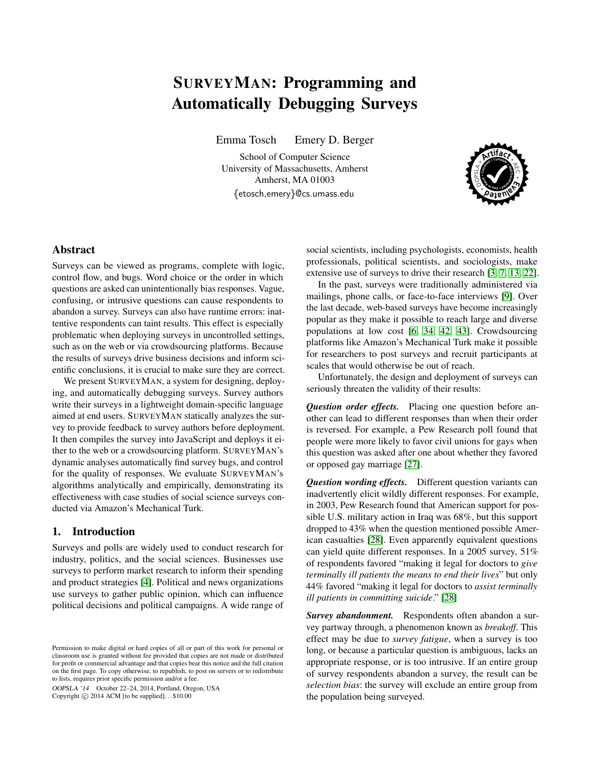# SURVEYMAN: Programming and Automatically Debugging Surveys

Emma Tosch Emery D. Berger

School of Computer Science University of Massachusetts, Amherst Amherst, MA 01003 {etosch,emery}@cs.umass.edu



# Abstract

Surveys can be viewed as programs, complete with logic, control flow, and bugs. Word choice or the order in which questions are asked can unintentionally bias responses. Vague, confusing, or intrusive questions can cause respondents to abandon a survey. Surveys can also have runtime errors: inattentive respondents can taint results. This effect is especially problematic when deploying surveys in uncontrolled settings, such as on the web or via crowdsourcing platforms. Because the results of surveys drive business decisions and inform scientific conclusions, it is crucial to make sure they are correct.

We present SURVEYMAN, a system for designing, deploying, and automatically debugging surveys. Survey authors write their surveys in a lightweight domain-specific language aimed at end users. SURVEYMAN statically analyzes the survey to provide feedback to survey authors before deployment. It then compiles the survey into JavaScript and deploys it either to the web or a crowdsourcing platform. SURVEYMAN's dynamic analyses automatically find survey bugs, and control for the quality of responses. We evaluate SURVEYMAN's algorithms analytically and empirically, demonstrating its effectiveness with case studies of social science surveys conducted via Amazon's Mechanical Turk.

## 1. Introduction

Surveys and polls are widely used to conduct research for industry, politics, and the social sciences. Businesses use surveys to perform market research to inform their spending and product strategies [\[4\]](#page-13-0). Political and news organizations use surveys to gather public opinion, which can influence political decisions and political campaigns. A wide range of

OOPSLA '14 October 22–24, 2014, Portland, Oregon, USA Copyright  $\odot$  2014 ACM [to be supplied]...\$10.00

social scientists, including psychologists, economists, health professionals, political scientists, and sociologists, make extensive use of surveys to drive their research [\[3,](#page-13-1) [7,](#page-13-2) [13,](#page-14-0) [22\]](#page-14-1).

In the past, surveys were traditionally administered via mailings, phone calls, or face-to-face interviews [\[9\]](#page-13-3). Over the last decade, web-based surveys have become increasingly popular as they make it possible to reach large and diverse populations at low cost [\[6,](#page-13-4) [34,](#page-14-2) [42,](#page-14-3) [43\]](#page-14-4). Crowdsourcing platforms like Amazon's Mechanical Turk make it possible for researchers to post surveys and recruit participants at scales that would otherwise be out of reach.

Unfortunately, the design and deployment of surveys can seriously threaten the validity of their results:

*Question order effects.* Placing one question before another can lead to different responses than when their order is reversed. For example, a Pew Research poll found that people were more likely to favor civil unions for gays when this question was asked after one about whether they favored or opposed gay marriage [\[27\]](#page-14-5).

*Question wording effects.* Different question variants can inadvertently elicit wildly different responses. For example, in 2003, Pew Research found that American support for possible U.S. military action in Iraq was 68%, but this support dropped to 43% when the question mentioned possible American casualties [\[28\]](#page-14-6). Even apparently equivalent questions can yield quite different responses. In a 2005 survey, 51% of respondents favored "making it legal for doctors to *give terminally ill patients the means to end their lives*" but only 44% favored "making it legal for doctors to *assist terminally ill patients in committing suicide*." [\[28\]](#page-14-6)

*Survey abandonment.* Respondents often abandon a survey partway through, a phenomenon known as *breakoff*. This effect may be due to *survey fatigue*, when a survey is too long, or because a particular question is ambiguous, lacks an appropriate response, or is too intrusive. If an entire group of survey respondents abandon a survey, the result can be *selection bias*: the survey will exclude an entire group from the population being surveyed.

Permission to make digital or hard copies of all or part of this work for personal or classroom use is granted without fee provided that copies are not made or distributed for profit or commercial advantage and that copies bear this notice and the full citation on the first page. To copy otherwise, to republish, to post on servers or to redistribute to lists, requires prior specific permission and/or a fee.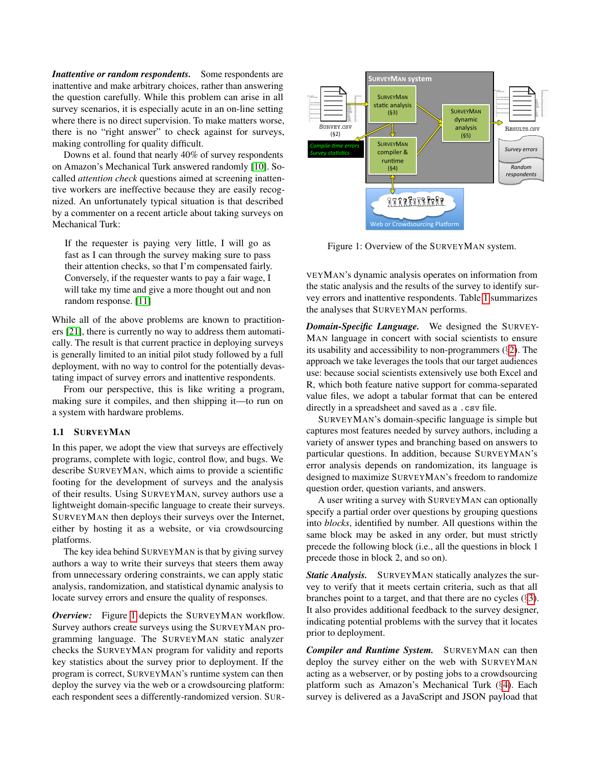*Inattentive or random respondents.* Some respondents are inattentive and make arbitrary choices, rather than answering the question carefully. While this problem can arise in all survey scenarios, it is especially acute in an on-line setting where there is no direct supervision. To make matters worse, there is no "right answer" to check against for surveys, making controlling for quality difficult.

Downs et al. found that nearly 40% of survey respondents on Amazon's Mechanical Turk answered randomly [\[10\]](#page-13-5). Socalled *attention check* questions aimed at screening inattentive workers are ineffective because they are easily recognized. An unfortunately typical situation is that described by a commenter on a recent article about taking surveys on Mechanical Turk:

If the requester is paying very little, I will go as fast as I can through the survey making sure to pass their attention checks, so that I'm compensated fairly. Conversely, if the requester wants to pay a fair wage, I will take my time and give a more thought out and non random response. [\[11\]](#page-14-7)

While all of the above problems are known to practitioners [\[21\]](#page-14-8), there is currently no way to address them automatically. The result is that current practice in deploying surveys is generally limited to an initial pilot study followed by a full deployment, with no way to control for the potentially devastating impact of survey errors and inattentive respondents.

From our perspective, this is like writing a program, making sure it compiles, and then shipping it—to run on a system with hardware problems.

#### 1.1 SURVEYMAN

In this paper, we adopt the view that surveys are effectively programs, complete with logic, control flow, and bugs. We describe SURVEYMAN, which aims to provide a scientific footing for the development of surveys and the analysis of their results. Using SURVEYMAN, survey authors use a lightweight domain-specific language to create their surveys. SURVEYMAN then deploys their surveys over the Internet, either by hosting it as a website, or via crowdsourcing platforms.

The key idea behind SURVEYMAN is that by giving survey authors a way to write their surveys that steers them away from unnecessary ordering constraints, we can apply static analysis, randomization, and statistical dynamic analysis to locate survey errors and ensure the quality of responses.

*Overview:* Figure [1](#page-1-0) depicts the SURVEYMAN workflow. Survey authors create surveys using the SURVEYMAN programming language. The SURVEYMAN static analyzer checks the SURVEYMAN program for validity and reports key statistics about the survey prior to deployment. If the program is correct, SURVEYMAN's runtime system can then deploy the survey via the web or a crowdsourcing platform: each respondent sees a differently-randomized version. SUR-

<span id="page-1-0"></span>

Figure 1: Overview of the SURVEYMAN system.

VEYMAN's dynamic analysis operates on information from the static analysis and the results of the survey to identify survey errors and inattentive respondents. Table [1](#page-2-0) summarizes the analyses that SURVEYMAN performs.

*Domain-Specific Language.* We designed the SURVEY-MAN language in concert with social scientists to ensure its usability and accessibility to non-programmers  $(\S 2)$  $(\S 2)$ . The approach we take leverages the tools that our target audiences use: because social scientists extensively use both Excel and R, which both feature native support for comma-separated value files, we adopt a tabular format that can be entered directly in a spreadsheet and saved as a .csv file.

SURVEYMAN's domain-specific language is simple but captures most features needed by survey authors, including a variety of answer types and branching based on answers to particular questions. In addition, because SURVEYMAN's error analysis depends on randomization, its language is designed to maximize SURVEYMAN's freedom to randomize question order, question variants, and answers.

A user writing a survey with SURVEYMAN can optionally specify a partial order over questions by grouping questions into *blocks*, identified by number. All questions within the same block may be asked in any order, but must strictly precede the following block (i.e., all the questions in block 1 precede those in block 2, and so on).

*Static Analysis.* SURVEYMAN statically analyzes the survey to verify that it meets certain criteria, such as that all branches point to a target, and that there are no cycles (§[3\)](#page-5-0). It also provides additional feedback to the survey designer, indicating potential problems with the survey that it locates prior to deployment.

*Compiler and Runtime System.* SURVEYMAN can then deploy the survey either on the web with SURVEYMAN acting as a webserver, or by posting jobs to a crowdsourcing platform such as Amazon's Mechanical Turk (§[4\)](#page-6-0). Each survey is delivered as a JavaScript and JSON payload that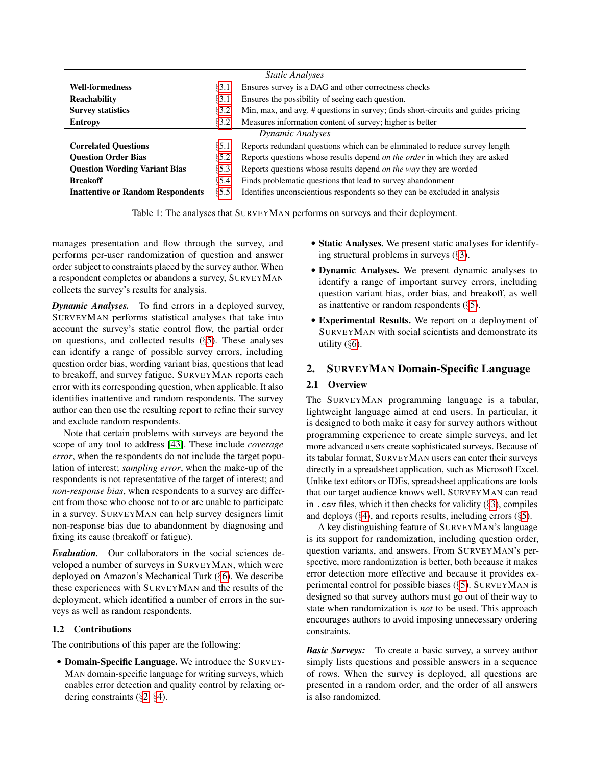<span id="page-2-0"></span>

| <b>Static Analyses</b>                   |          |                                                                                    |  |  |
|------------------------------------------|----------|------------------------------------------------------------------------------------|--|--|
| <b>Well-formedness</b>                   | 83.1     | Ensures survey is a DAG and other correctness checks                               |  |  |
| <b>Reachability</b>                      | $\S3.1$  | Ensures the possibility of seeing each question.                                   |  |  |
| <b>Survey statistics</b>                 | §3.2     | Min, max, and avg. # questions in survey; finds short-circuits and guides pricing  |  |  |
| <b>Entropy</b>                           | 83.2     | Measures information content of survey; higher is better                           |  |  |
| Dynamic Analyses                         |          |                                                                                    |  |  |
| <b>Correlated Questions</b>              | $\S$ 5.1 | Reports redundant questions which can be eliminated to reduce survey length        |  |  |
| <b>Ouestion Order Bias</b>               | $\S 5.2$ | Reports questions whose results depend <i>on the order</i> in which they are asked |  |  |
| <b>Question Wording Variant Bias</b>     | 85.3     | Reports questions whose results depend on the way they are worded                  |  |  |
| <b>Breakoff</b>                          | § 5.4    | Finds problematic questions that lead to survey abandonment                        |  |  |
| <b>Inattentive or Random Respondents</b> | 85.5     | Identifies unconscientious respondents so they can be excluded in analysis         |  |  |

Table 1: The analyses that SURVEYMAN performs on surveys and their deployment.

manages presentation and flow through the survey, and performs per-user randomization of question and answer order subject to constraints placed by the survey author. When a respondent completes or abandons a survey, SURVEYMAN collects the survey's results for analysis.

*Dynamic Analyses.* To find errors in a deployed survey, SURVEYMAN performs statistical analyses that take into account the survey's static control flow, the partial order on questions, and collected results (§[5\)](#page-7-2). These analyses can identify a range of possible survey errors, including question order bias, wording variant bias, questions that lead to breakoff, and survey fatigue. SURVEYMAN reports each error with its corresponding question, when applicable. It also identifies inattentive and random respondents. The survey author can then use the resulting report to refine their survey and exclude random respondents.

Note that certain problems with surveys are beyond the scope of any tool to address [\[43\]](#page-14-4). These include *coverage error*, when the respondents do not include the target population of interest; *sampling error*, when the make-up of the respondents is not representative of the target of interest; and *non-response bias*, when respondents to a survey are different from those who choose not to or are unable to participate in a survey. SURVEYMAN can help survey designers limit non-response bias due to abandonment by diagnosing and fixing its cause (breakoff or fatigue).

*Evaluation.* Our collaborators in the social sciences developed a number of surveys in SURVEYMAN, which were deployed on Amazon's Mechanical Turk (§[6\)](#page-9-0). We describe these experiences with SURVEYMAN and the results of the deployment, which identified a number of errors in the surveys as well as random respondents.

## 1.2 Contributions

The contributions of this paper are the following:

• Domain-Specific Language. We introduce the SURVEY-MAN domain-specific language for writing surveys, which enables error detection and quality control by relaxing ordering constraints (§[2,](#page-2-1) §[4\)](#page-6-0).

- Static Analyses. We present static analyses for identifying structural problems in surveys (§[3\)](#page-5-0).
- Dynamic Analyses. We present dynamic analyses to identify a range of important survey errors, including question variant bias, order bias, and breakoff, as well as inattentive or random respondents (§[5\)](#page-7-2).
- Experimental Results. We report on a deployment of SURVEYMAN with social scientists and demonstrate its utility  $(\S6)$  $(\S6)$ .

# <span id="page-2-1"></span>2. SURVEYMAN Domain-Specific Language

# 2.1 Overview

The SURVEYMAN programming language is a tabular, lightweight language aimed at end users. In particular, it is designed to both make it easy for survey authors without programming experience to create simple surveys, and let more advanced users create sophisticated surveys. Because of its tabular format, SURVEYMAN users can enter their surveys directly in a spreadsheet application, such as Microsoft Excel. Unlike text editors or IDEs, spreadsheet applications are tools that our target audience knows well. SURVEYMAN can read in . csv files, which it then checks for validity  $(\S 3)$  $(\S 3)$ , compiles and deploys  $(\S 4)$  $(\S 4)$ , and reports results, including errors  $(\S 5)$  $(\S 5)$ .

A key distinguishing feature of SURVEYMAN's language is its support for randomization, including question order, question variants, and answers. From SURVEYMAN's perspective, more randomization is better, both because it makes error detection more effective and because it provides experimental control for possible biases (§[5\)](#page-7-2). SURVEYMAN is designed so that survey authors must go out of their way to state when randomization is *not* to be used. This approach encourages authors to avoid imposing unnecessary ordering constraints.

*Basic Surveys:* To create a basic survey, a survey author simply lists questions and possible answers in a sequence of rows. When the survey is deployed, all questions are presented in a random order, and the order of all answers is also randomized.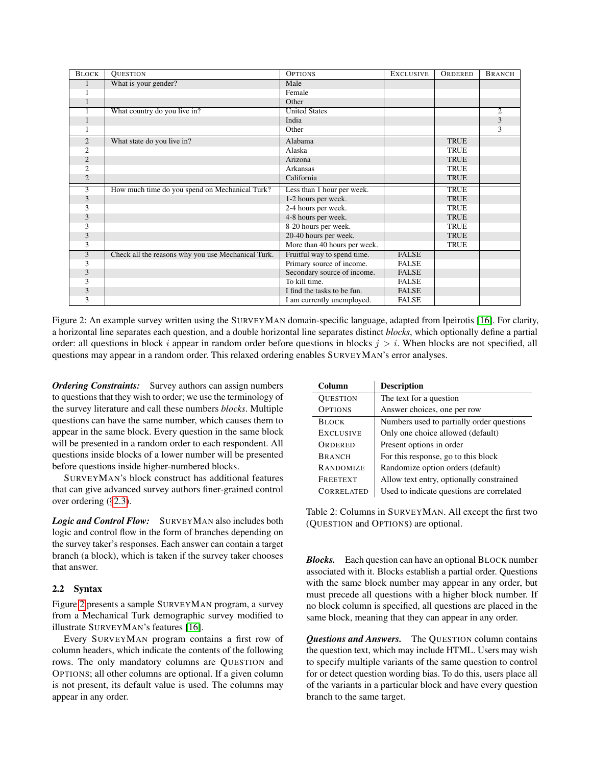<span id="page-3-0"></span>

| <b>BLOCK</b>   | <b>QUESTION</b>                                    | <b>OPTIONS</b>               | <b>EXCLUSIVE</b> | ORDERED     | <b>BRANCH</b>  |
|----------------|----------------------------------------------------|------------------------------|------------------|-------------|----------------|
|                | What is your gender?                               | Male                         |                  |             |                |
|                |                                                    | Female                       |                  |             |                |
|                |                                                    | Other                        |                  |             |                |
|                | What country do you live in?                       | <b>United States</b>         |                  |             | $\overline{c}$ |
|                |                                                    | India                        |                  |             | 3              |
|                |                                                    | Other                        |                  |             | 3              |
| $\overline{c}$ | What state do you live in?                         | Alabama                      |                  | <b>TRUE</b> |                |
| $\overline{2}$ |                                                    | Alaska                       |                  | <b>TRUE</b> |                |
| $\overline{2}$ |                                                    | Arizona                      |                  | <b>TRUE</b> |                |
| $\overline{2}$ |                                                    | Arkansas                     |                  | <b>TRUE</b> |                |
| $\overline{2}$ |                                                    | California                   |                  | <b>TRUE</b> |                |
| 3              | How much time do you spend on Mechanical Turk?     | Less than 1 hour per week.   |                  | <b>TRUE</b> |                |
| 3              |                                                    | 1-2 hours per week.          |                  | <b>TRUE</b> |                |
| 3              |                                                    | 2-4 hours per week.          |                  | <b>TRUE</b> |                |
| 3              |                                                    | 4-8 hours per week.          |                  | <b>TRUE</b> |                |
| 3              |                                                    | 8-20 hours per week.         |                  | <b>TRUE</b> |                |
| 3              |                                                    | 20-40 hours per week.        |                  | <b>TRUE</b> |                |
| 3              |                                                    | More than 40 hours per week. |                  | <b>TRUE</b> |                |
| 3              | Check all the reasons why you use Mechanical Turk. | Fruitful way to spend time.  | <b>FALSE</b>     |             |                |
| 3              |                                                    | Primary source of income.    | <b>FALSE</b>     |             |                |
| 3              |                                                    | Secondary source of income.  | <b>FALSE</b>     |             |                |
| 3              |                                                    | To kill time.                | <b>FALSE</b>     |             |                |
| 3              |                                                    | I find the tasks to be fun.  | <b>FALSE</b>     |             |                |
| 3              |                                                    | I am currently unemployed.   | <b>FALSE</b>     |             |                |

Figure 2: An example survey written using the SURVEYMAN domain-specific language, adapted from Ipeirotis [\[16\]](#page-14-9). For clarity, a horizontal line separates each question, and a double horizontal line separates distinct *blocks*, which optionally define a partial order: all questions in block i appear in random order before questions in blocks  $j > i$ . When blocks are not specified, all questions may appear in a random order. This relaxed ordering enables SURVEYMAN's error analyses.

*Ordering Constraints:* Survey authors can assign numbers to questions that they wish to order; we use the terminology of the survey literature and call these numbers *blocks*. Multiple questions can have the same number, which causes them to appear in the same block. Every question in the same block will be presented in a random order to each respondent. All questions inside blocks of a lower number will be presented before questions inside higher-numbered blocks.

SURVEYMAN's block construct has additional features that can give advanced survey authors finer-grained control over ordering (§[2.3\)](#page-4-0).

*Logic and Control Flow:* SURVEYMAN also includes both logic and control flow in the form of branches depending on the survey taker's responses. Each answer can contain a target branch (a block), which is taken if the survey taker chooses that answer.

## 2.2 Syntax

Figure [2](#page-3-0) presents a sample SURVEYMAN program, a survey from a Mechanical Turk demographic survey modified to illustrate SURVEYMAN's features [\[16\]](#page-14-9).

Every SURVEYMAN program contains a first row of column headers, which indicate the contents of the following rows. The only mandatory columns are QUESTION and OPTIONS; all other columns are optional. If a given column is not present, its default value is used. The columns may appear in any order.

| Column            | <b>Description</b>                        |
|-------------------|-------------------------------------------|
| <b>QUESTION</b>   | The text for a question                   |
| <b>OPTIONS</b>    | Answer choices, one per row               |
| <b>BLOCK</b>      | Numbers used to partially order questions |
| <b>EXCLUSIVE</b>  | Only one choice allowed (default)         |
| ORDERED           | Present options in order                  |
| <b>BRANCH</b>     | For this response, go to this block       |
| <b>RANDOMIZE</b>  | Randomize option orders (default)         |
| <b>FREETEXT</b>   | Allow text entry, optionally constrained  |
| <b>CORRELATED</b> | Used to indicate questions are correlated |

Table 2: Columns in SURVEYMAN. All except the first two (QUESTION and OPTIONS) are optional.

*Blocks.* Each question can have an optional BLOCK number associated with it. Blocks establish a partial order. Questions with the same block number may appear in any order, but must precede all questions with a higher block number. If no block column is specified, all questions are placed in the same block, meaning that they can appear in any order.

*Questions and Answers.* The QUESTION column contains the question text, which may include HTML. Users may wish to specify multiple variants of the same question to control for or detect question wording bias. To do this, users place all of the variants in a particular block and have every question branch to the same target.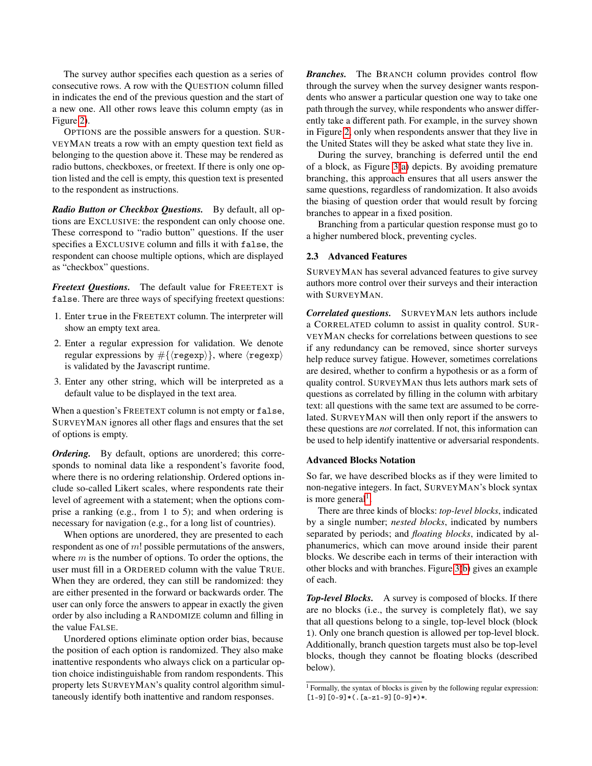The survey author specifies each question as a series of consecutive rows. A row with the QUESTION column filled in indicates the end of the previous question and the start of a new one. All other rows leave this column empty (as in Figure [2\)](#page-3-0).

OPTIONS are the possible answers for a question. SUR-VEYMAN treats a row with an empty question text field as belonging to the question above it. These may be rendered as radio buttons, checkboxes, or freetext. If there is only one option listed and the cell is empty, this question text is presented to the respondent as instructions.

*Radio Button or Checkbox Questions.* By default, all options are EXCLUSIVE: the respondent can only choose one. These correspond to "radio button" questions. If the user specifies a EXCLUSIVE column and fills it with false, the respondent can choose multiple options, which are displayed as "checkbox" questions.

*Freetext Questions.* The default value for FREETEXT is false. There are three ways of specifying freetext questions:

- 1. Enter true in the FREETEXT column. The interpreter will show an empty text area.
- 2. Enter a regular expression for validation. We denote regular expressions by  $\#\{\langle \text{regexp}\rangle\}$ , where  $\langle \text{regexp}\rangle$ is validated by the Javascript runtime.
- 3. Enter any other string, which will be interpreted as a default value to be displayed in the text area.

When a question's FREETEXT column is not empty or false, SURVEYMAN ignores all other flags and ensures that the set of options is empty.

*Ordering.* By default, options are unordered; this corresponds to nominal data like a respondent's favorite food, where there is no ordering relationship. Ordered options include so-called Likert scales, where respondents rate their level of agreement with a statement; when the options comprise a ranking (e.g., from 1 to 5); and when ordering is necessary for navigation (e.g., for a long list of countries).

When options are unordered, they are presented to each respondent as one of m! possible permutations of the answers, where  $m$  is the number of options. To order the options, the user must fill in a ORDERED column with the value TRUE. When they are ordered, they can still be randomized: they are either presented in the forward or backwards order. The user can only force the answers to appear in exactly the given order by also including a RANDOMIZE column and filling in the value FALSE.

Unordered options eliminate option order bias, because the position of each option is randomized. They also make inattentive respondents who always click on a particular option choice indistinguishable from random respondents. This property lets SURVEYMAN's quality control algorithm simultaneously identify both inattentive and random responses.

*Branches.* The BRANCH column provides control flow through the survey when the survey designer wants respondents who answer a particular question one way to take one path through the survey, while respondents who answer differently take a different path. For example, in the survey shown in Figure [2,](#page-3-0) only when respondents answer that they live in the United States will they be asked what state they live in.

During the survey, branching is deferred until the end of a block, as Figure [3\(a\)](#page-5-3) depicts. By avoiding premature branching, this approach ensures that all users answer the same questions, regardless of randomization. It also avoids the biasing of question order that would result by forcing branches to appear in a fixed position.

Branching from a particular question response must go to a higher numbered block, preventing cycles.

#### 2.3 Advanced Features

SURVEYMAN has several advanced features to give survey authors more control over their surveys and their interaction with SURVEYMAN.

*Correlated questions.* SURVEYMAN lets authors include a CORRELATED column to assist in quality control. SUR-VEYMAN checks for correlations between questions to see if any redundancy can be removed, since shorter surveys help reduce survey fatigue. However, sometimes correlations are desired, whether to confirm a hypothesis or as a form of quality control. SURVEYMAN thus lets authors mark sets of questions as correlated by filling in the column with arbitary text: all questions with the same text are assumed to be correlated. SURVEYMAN will then only report if the answers to these questions are *not* correlated. If not, this information can be used to help identify inattentive or adversarial respondents.

#### <span id="page-4-0"></span>Advanced Blocks Notation

So far, we have described blocks as if they were limited to non-negative integers. In fact, SURVEYMAN's block syntax is more general<sup>[1](#page-4-1)</sup>.

There are three kinds of blocks: *top-level blocks*, indicated by a single number; *nested blocks*, indicated by numbers separated by periods; and *floating blocks*, indicated by alphanumerics, which can move around inside their parent blocks. We describe each in terms of their interaction with other blocks and with branches. Figure [3\(b\)](#page-5-3) gives an example of each.

*Top-level Blocks.* A survey is composed of blocks. If there are no blocks (i.e., the survey is completely flat), we say that all questions belong to a single, top-level block (block 1). Only one branch question is allowed per top-level block. Additionally, branch question targets must also be top-level blocks, though they cannot be floating blocks (described below).

<span id="page-4-1"></span> $\frac{1}{1}$  Formally, the syntax of blocks is given by the following regular expression:  $[1-9][0-9]*$  (.  $[a-z1-9][0-9]*$ )\*.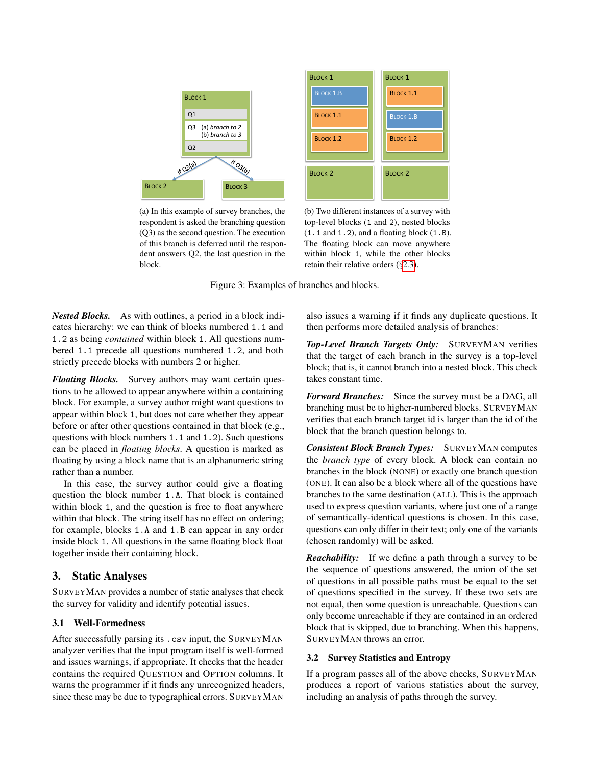<span id="page-5-3"></span>

(a) In this example of survey branches, the respondent is asked the branching question (Q3) as the second question. The execution of this branch is deferred until the respondent answers Q2, the last question in the block.

(b) Two different instances of a survey with top-level blocks (1 and 2), nested blocks  $(1.1$  and  $1.2)$ , and a floating block  $(1.B)$ . The floating block can move anywhere within block 1, while the other blocks retain their relative orders (§[2.3\)](#page-4-0).

Figure 3: Examples of branches and blocks.

*Nested Blocks.* As with outlines, a period in a block indicates hierarchy: we can think of blocks numbered 1.1 and 1.2 as being *contained* within block 1. All questions numbered 1.1 precede all questions numbered 1.2, and both strictly precede blocks with numbers 2 or higher.

*Floating Blocks.* Survey authors may want certain questions to be allowed to appear anywhere within a containing block. For example, a survey author might want questions to appear within block 1, but does not care whether they appear before or after other questions contained in that block (e.g., questions with block numbers 1.1 and 1.2). Such questions can be placed in *floating blocks*. A question is marked as floating by using a block name that is an alphanumeric string rather than a number.

In this case, the survey author could give a floating question the block number 1.A. That block is contained within block 1, and the question is free to float anywhere within that block. The string itself has no effect on ordering; for example, blocks 1.A and 1.B can appear in any order inside block 1. All questions in the same floating block float together inside their containing block.

## <span id="page-5-0"></span>3. Static Analyses

SURVEYMAN provides a number of static analyses that check the survey for validity and identify potential issues.

## <span id="page-5-1"></span>3.1 Well-Formedness

After successfully parsing its .csv input, the SURVEYMAN analyzer verifies that the input program itself is well-formed and issues warnings, if appropriate. It checks that the header contains the required QUESTION and OPTION columns. It warns the programmer if it finds any unrecognized headers, since these may be due to typographical errors. SURVEYMAN

also issues a warning if it finds any duplicate questions. It then performs more detailed analysis of branches:

*Top-Level Branch Targets Only:* SURVEYMAN verifies that the target of each branch in the survey is a top-level block; that is, it cannot branch into a nested block. This check takes constant time.

*Forward Branches:* Since the survey must be a DAG, all branching must be to higher-numbered blocks. SURVEYMAN verifies that each branch target id is larger than the id of the block that the branch question belongs to.

*Consistent Block Branch Types:* SURVEYMAN computes the *branch type* of every block. A block can contain no branches in the block (NONE) or exactly one branch question (ONE). It can also be a block where all of the questions have branches to the same destination (ALL). This is the approach used to express question variants, where just one of a range of semantically-identical questions is chosen. In this case, questions can only differ in their text; only one of the variants (chosen randomly) will be asked.

*Reachability:* If we define a path through a survey to be the sequence of questions answered, the union of the set of questions in all possible paths must be equal to the set of questions specified in the survey. If these two sets are not equal, then some question is unreachable. Questions can only become unreachable if they are contained in an ordered block that is skipped, due to branching. When this happens, SURVEYMAN throws an error.

## <span id="page-5-2"></span>3.2 Survey Statistics and Entropy

If a program passes all of the above checks, SURVEYMAN produces a report of various statistics about the survey, including an analysis of paths through the survey.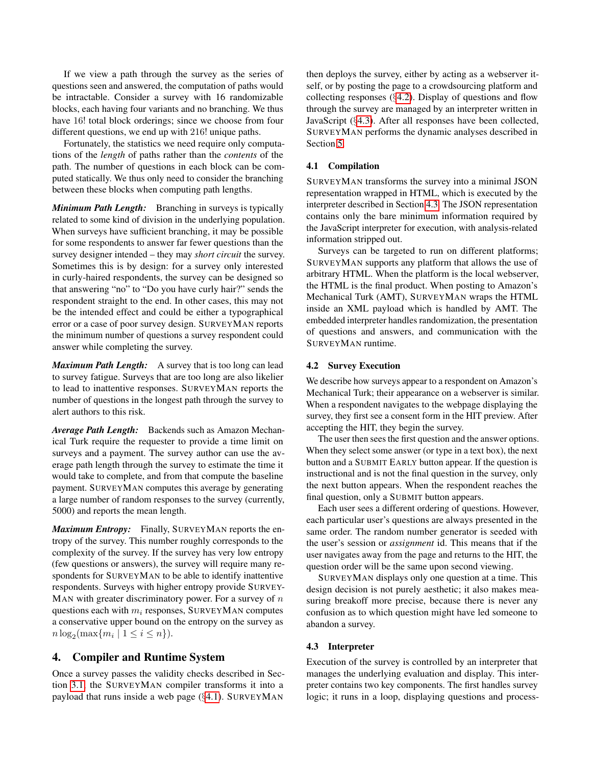If we view a path through the survey as the series of questions seen and answered, the computation of paths would be intractable. Consider a survey with 16 randomizable blocks, each having four variants and no branching. We thus have 16! total block orderings; since we choose from four different questions, we end up with 216! unique paths.

Fortunately, the statistics we need require only computations of the *length* of paths rather than the *contents* of the path. The number of questions in each block can be computed statically. We thus only need to consider the branching between these blocks when computing path lengths.

*Minimum Path Length:* Branching in surveys is typically related to some kind of division in the underlying population. When surveys have sufficient branching, it may be possible for some respondents to answer far fewer questions than the survey designer intended – they may *short circuit* the survey. Sometimes this is by design: for a survey only interested in curly-haired respondents, the survey can be designed so that answering "no" to "Do you have curly hair?" sends the respondent straight to the end. In other cases, this may not be the intended effect and could be either a typographical error or a case of poor survey design. SURVEYMAN reports the minimum number of questions a survey respondent could answer while completing the survey.

*Maximum Path Length:* A survey that is too long can lead to survey fatigue. Surveys that are too long are also likelier to lead to inattentive responses. SURVEYMAN reports the number of questions in the longest path through the survey to alert authors to this risk.

*Average Path Length:* Backends such as Amazon Mechanical Turk require the requester to provide a time limit on surveys and a payment. The survey author can use the average path length through the survey to estimate the time it would take to complete, and from that compute the baseline payment. SURVEYMAN computes this average by generating a large number of random responses to the survey (currently, 5000) and reports the mean length.

*Maximum Entropy:* Finally, SURVEYMAN reports the entropy of the survey. This number roughly corresponds to the complexity of the survey. If the survey has very low entropy (few questions or answers), the survey will require many respondents for SURVEYMAN to be able to identify inattentive respondents. Surveys with higher entropy provide SURVEY-MAN with greater discriminatory power. For a survey of  $n$ questions each with  $m_i$  responses, SURVEYMAN computes a conservative upper bound on the entropy on the survey as  $n \log_2(\max\{m_i \mid 1 \le i \le n\}).$ 

# <span id="page-6-0"></span>4. Compiler and Runtime System

Once a survey passes the validity checks described in Section [3.1,](#page-5-1) the SURVEYMAN compiler transforms it into a payload that runs inside a web page (§[4.1\)](#page-6-1). SURVEYMAN

then deploys the survey, either by acting as a webserver itself, or by posting the page to a crowdsourcing platform and collecting responses (§[4.2\)](#page-6-2). Display of questions and flow through the survey are managed by an interpreter written in JavaScript (§[4.3\)](#page-6-3). After all responses have been collected, SURVEYMAN performs the dynamic analyses described in Section [5.](#page-7-2)

## <span id="page-6-1"></span>4.1 Compilation

SURVEYMAN transforms the survey into a minimal JSON representation wrapped in HTML, which is executed by the interpreter described in Section [4.3.](#page-6-3) The JSON representation contains only the bare minimum information required by the JavaScript interpreter for execution, with analysis-related information stripped out.

Surveys can be targeted to run on different platforms; SURVEYMAN supports any platform that allows the use of arbitrary HTML. When the platform is the local webserver, the HTML is the final product. When posting to Amazon's Mechanical Turk (AMT), SURVEYMAN wraps the HTML inside an XML payload which is handled by AMT. The embedded interpreter handles randomization, the presentation of questions and answers, and communication with the SURVEYMAN runtime.

## <span id="page-6-2"></span>4.2 Survey Execution

We describe how surveys appear to a respondent on Amazon's Mechanical Turk; their appearance on a webserver is similar. When a respondent navigates to the webpage displaying the survey, they first see a consent form in the HIT preview. After accepting the HIT, they begin the survey.

The user then sees the first question and the answer options. When they select some answer (or type in a text box), the next button and a SUBMIT EARLY button appear. If the question is instructional and is not the final question in the survey, only the next button appears. When the respondent reaches the final question, only a SUBMIT button appears.

Each user sees a different ordering of questions. However, each particular user's questions are always presented in the same order. The random number generator is seeded with the user's session or *assignment* id. This means that if the user navigates away from the page and returns to the HIT, the question order will be the same upon second viewing.

SURVEYMAN displays only one question at a time. This design decision is not purely aesthetic; it also makes measuring breakoff more precise, because there is never any confusion as to which question might have led someone to abandon a survey.

## <span id="page-6-3"></span>4.3 Interpreter

Execution of the survey is controlled by an interpreter that manages the underlying evaluation and display. This interpreter contains two key components. The first handles survey logic; it runs in a loop, displaying questions and process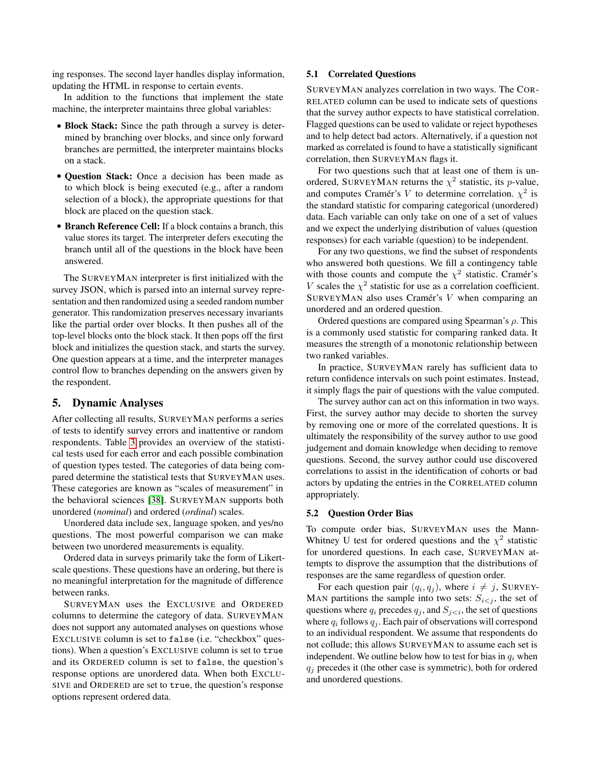ing responses. The second layer handles display information, updating the HTML in response to certain events.

In addition to the functions that implement the state machine, the interpreter maintains three global variables:

- Block Stack: Since the path through a survey is determined by branching over blocks, and since only forward branches are permitted, the interpreter maintains blocks on a stack.
- Question Stack: Once a decision has been made as to which block is being executed (e.g., after a random selection of a block), the appropriate questions for that block are placed on the question stack.
- Branch Reference Cell: If a block contains a branch, this value stores its target. The interpreter defers executing the branch until all of the questions in the block have been answered.

The SURVEYMAN interpreter is first initialized with the survey JSON, which is parsed into an internal survey representation and then randomized using a seeded random number generator. This randomization preserves necessary invariants like the partial order over blocks. It then pushes all of the top-level blocks onto the block stack. It then pops off the first block and initializes the question stack, and starts the survey. One question appears at a time, and the interpreter manages control flow to branches depending on the answers given by the respondent.

## <span id="page-7-2"></span>5. Dynamic Analyses

After collecting all results, SURVEYMAN performs a series of tests to identify survey errors and inattentive or random respondents. Table [3](#page-8-3) provides an overview of the statistical tests used for each error and each possible combination of question types tested. The categories of data being compared determine the statistical tests that SURVEYMAN uses. These categories are known as "scales of measurement" in the behavioral sciences [\[38\]](#page-14-10). SURVEYMAN supports both unordered (*nominal*) and ordered (*ordinal*) scales.

Unordered data include sex, language spoken, and yes/no questions. The most powerful comparison we can make between two unordered measurements is equality.

Ordered data in surveys primarily take the form of Likertscale questions. These questions have an ordering, but there is no meaningful interpretation for the magnitude of difference between ranks.

SURVEYMAN uses the EXCLUSIVE and ORDERED columns to determine the category of data. SURVEYMAN does not support any automated analyses on questions whose EXCLUSIVE column is set to false (i.e. "checkbox" questions). When a question's EXCLUSIVE column is set to true and its ORDERED column is set to false, the question's response options are unordered data. When both EXCLU-SIVE and ORDERED are set to true, the question's response options represent ordered data.

## <span id="page-7-0"></span>5.1 Correlated Questions

SURVEYMAN analyzes correlation in two ways. The COR-RELATED column can be used to indicate sets of questions that the survey author expects to have statistical correlation. Flagged questions can be used to validate or reject hypotheses and to help detect bad actors. Alternatively, if a question not marked as correlated is found to have a statistically significant correlation, then SURVEYMAN flags it.

For two questions such that at least one of them is unordered, SURVEYMAN returns the  $\chi^2$  statistic, its *p*-value, and computes Cramér's V to determine correlation.  $\chi^2$  is the standard statistic for comparing categorical (unordered) data. Each variable can only take on one of a set of values and we expect the underlying distribution of values (question responses) for each variable (question) to be independent.

For any two questions, we find the subset of respondents who answered both questions. We fill a contingency table with those counts and compute the  $\chi^2$  statistic. Cramér's V scales the  $\chi^2$  statistic for use as a correlation coefficient. SURVEYMAN also uses Cramér's V when comparing an unordered and an ordered question.

Ordered questions are compared using Spearman's  $\rho$ . This is a commonly used statistic for comparing ranked data. It measures the strength of a monotonic relationship between two ranked variables.

In practice, SURVEYMAN rarely has sufficient data to return confidence intervals on such point estimates. Instead, it simply flags the pair of questions with the value computed.

The survey author can act on this information in two ways. First, the survey author may decide to shorten the survey by removing one or more of the correlated questions. It is ultimately the responsibility of the survey author to use good judgement and domain knowledge when deciding to remove questions. Second, the survey author could use discovered correlations to assist in the identification of cohorts or bad actors by updating the entries in the CORRELATED column appropriately.

#### <span id="page-7-1"></span>5.2 Question Order Bias

To compute order bias, SURVEYMAN uses the Mann-Whitney U test for ordered questions and the  $\chi^2$  statistic for unordered questions. In each case, SURVEYMAN attempts to disprove the assumption that the distributions of responses are the same regardless of question order.

For each question pair  $(q_i, q_j)$ , where  $i \neq j$ , SURVEY-MAN partitions the sample into two sets:  $S_{i \leq j}$ , the set of questions where  $q_i$  precedes  $q_j$ , and  $S_{j \leq i}$ , the set of questions where  $q_i$  follows  $q_j$ . Each pair of observations will correspond to an individual respondent. We assume that respondents do not collude; this allows SURVEYMAN to assume each set is independent. We outline below how to test for bias in  $q_i$  when  $q_i$  precedes it (the other case is symmetric), both for ordered and unordered questions.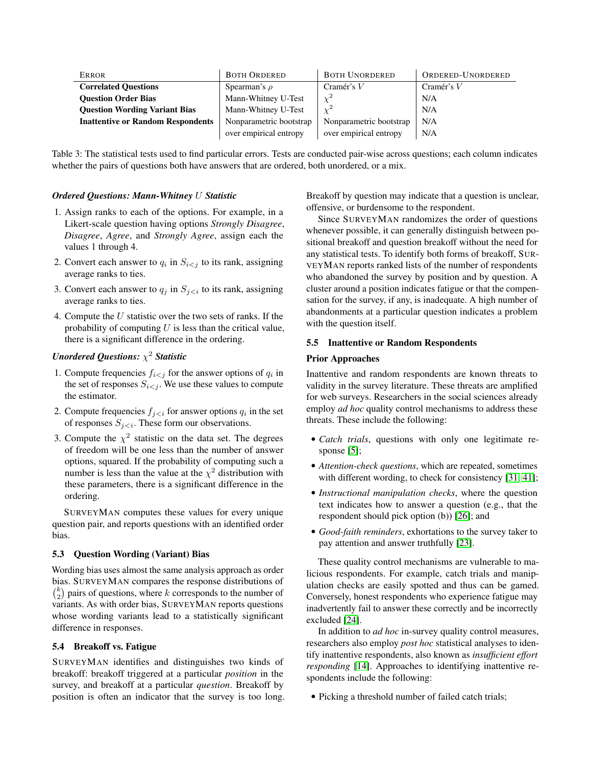<span id="page-8-3"></span>

| <b>ERROR</b>                             | <b>BOTH ORDERED</b>     | <b>BOTH UNORDERED</b>   | ORDERED-UNORDERED |  |
|------------------------------------------|-------------------------|-------------------------|-------------------|--|
| <b>Correlated Questions</b>              | Spearman's $\rho$       | Cramér's $V$            | Cramér's $V$      |  |
| <b>Ouestion Order Bias</b>               | Mann-Whitney U-Test     | $\sim^2$                | N/A               |  |
| <b>Ouestion Wording Variant Bias</b>     | Mann-Whitney U-Test     |                         | N/A               |  |
| <b>Inattentive or Random Respondents</b> | Nonparametric bootstrap | Nonparametric bootstrap | N/A               |  |
|                                          | over empirical entropy  | over empirical entropy  | N/A               |  |

Table 3: The statistical tests used to find particular errors. Tests are conducted pair-wise across questions; each column indicates whether the pairs of questions both have answers that are ordered, both unordered, or a mix.

#### *Ordered Questions: Mann-Whitney* U *Statistic*

- 1. Assign ranks to each of the options. For example, in a Likert-scale question having options *Strongly Disagree*, *Disagree*, *Agree*, and *Strongly Agree*, assign each the values 1 through 4.
- 2. Convert each answer to  $q_i$  in  $S_{i \le j}$  to its rank, assigning average ranks to ties.
- 3. Convert each answer to  $q_i$  in  $S_{i \leq i}$  to its rank, assigning average ranks to ties.
- 4. Compute the U statistic over the two sets of ranks. If the probability of computing  $U$  is less than the critical value, there is a significant difference in the ordering.

## *Unordered Questions:* χ <sup>2</sup> *Statistic*

- 1. Compute frequencies  $f_{i \leq j}$  for the answer options of  $q_i$  in the set of responses  $S_{i \leq j}$ . We use these values to compute the estimator.
- 2. Compute frequencies  $f_{j \leq i}$  for answer options  $q_i$  in the set of responses  $S_{j \lt i}$ . These form our observations.
- 3. Compute the  $\chi^2$  statistic on the data set. The degrees of freedom will be one less than the number of answer options, squared. If the probability of computing such a number is less than the value at the  $\chi^2$  distribution with these parameters, there is a significant difference in the ordering.

SURVEYMAN computes these values for every unique question pair, and reports questions with an identified order bias.

#### <span id="page-8-0"></span>5.3 Question Wording (Variant) Bias

Wording bias uses almost the same analysis approach as order bias. SURVEYMAN compares the response distributions of  $\binom{k}{2}$  pairs of questions, where k corresponds to the number of variants. As with order bias, SURVEYMAN reports questions whose wording variants lead to a statistically significant difference in responses.

#### <span id="page-8-1"></span>5.4 Breakoff vs. Fatigue

SURVEYMAN identifies and distinguishes two kinds of breakoff: breakoff triggered at a particular *position* in the survey, and breakoff at a particular *question*. Breakoff by position is often an indicator that the survey is too long.

Breakoff by question may indicate that a question is unclear, offensive, or burdensome to the respondent.

Since SURVEYMAN randomizes the order of questions whenever possible, it can generally distinguish between positional breakoff and question breakoff without the need for any statistical tests. To identify both forms of breakoff, SUR-VEYMAN reports ranked lists of the number of respondents who abandoned the survey by position and by question. A cluster around a position indicates fatigue or that the compensation for the survey, if any, is inadequate. A high number of abandonments at a particular question indicates a problem with the question itself.

## <span id="page-8-2"></span>5.5 Inattentive or Random Respondents

#### Prior Approaches

Inattentive and random respondents are known threats to validity in the survey literature. These threats are amplified for web surveys. Researchers in the social sciences already employ *ad hoc* quality control mechanisms to address these threats. These include the following:

- *Catch trials*, questions with only one legitimate response [\[5\]](#page-13-6);
- *Attention-check questions*, which are repeated, sometimes with different wording, to check for consistency [\[31,](#page-14-11) [41\]](#page-14-12);
- *Instructional manipulation checks*, where the question text indicates how to answer a question (e.g., that the respondent should pick option (b)) [\[26\]](#page-14-13); and
- *Good-faith reminders*, exhortations to the survey taker to pay attention and answer truthfully [\[23\]](#page-14-14).

These quality control mechanisms are vulnerable to malicious respondents. For example, catch trials and manipulation checks are easily spotted and thus can be gamed. Conversely, honest respondents who experience fatigue may inadvertently fail to answer these correctly and be incorrectly excluded [\[24\]](#page-14-15).

In addition to *ad hoc* in-survey quality control measures, researchers also employ *post hoc* statistical analyses to identify inattentive respondents, also known as *insufficient effort responding* [\[14\]](#page-14-16). Approaches to identifying inattentive respondents include the following:

• Picking a threshold number of failed catch trials;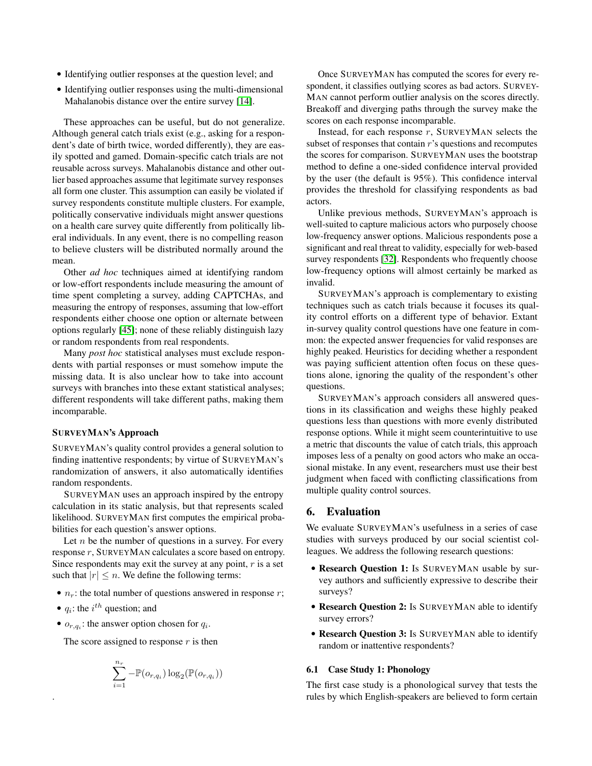- Identifying outlier responses at the question level; and
- Identifying outlier responses using the multi-dimensional Mahalanobis distance over the entire survey [\[14\]](#page-14-16).

These approaches can be useful, but do not generalize. Although general catch trials exist (e.g., asking for a respondent's date of birth twice, worded differently), they are easily spotted and gamed. Domain-specific catch trials are not reusable across surveys. Mahalanobis distance and other outlier based approaches assume that legitimate survey responses all form one cluster. This assumption can easily be violated if survey respondents constitute multiple clusters. For example, politically conservative individuals might answer questions on a health care survey quite differently from politically liberal individuals. In any event, there is no compelling reason to believe clusters will be distributed normally around the mean.

Other *ad hoc* techniques aimed at identifying random or low-effort respondents include measuring the amount of time spent completing a survey, adding CAPTCHAs, and measuring the entropy of responses, assuming that low-effort respondents either choose one option or alternate between options regularly [\[45\]](#page-14-17); none of these reliably distinguish lazy or random respondents from real respondents.

Many *post hoc* statistical analyses must exclude respondents with partial responses or must somehow impute the missing data. It is also unclear how to take into account surveys with branches into these extant statistical analyses; different respondents will take different paths, making them incomparable.

#### SURVEYMAN's Approach

SURVEYMAN's quality control provides a general solution to finding inattentive respondents; by virtue of SURVEYMAN's randomization of answers, it also automatically identifies random respondents.

SURVEYMAN uses an approach inspired by the entropy calculation in its static analysis, but that represents scaled likelihood. SURVEYMAN first computes the empirical probabilities for each question's answer options.

Let  $n$  be the number of questions in a survey. For every response r, SURVEYMAN calculates a score based on entropy. Since respondents may exit the survey at any point,  $r$  is a set such that  $|r| \leq n$ . We define the following terms:

- $n_r$ : the total number of questions answered in response r;
- $q_i$ : the  $i^{th}$  question; and

.

•  $o_{r,q_i}$ : the answer option chosen for  $q_i$ .

The score assigned to response  $r$  is then

$$
\sum_{i=1}^{n_r} -\mathbb{P}(o_{r,q_i}) \log_2(\mathbb{P}(o_{r,q_i}))
$$

Once SURVEYMAN has computed the scores for every respondent, it classifies outlying scores as bad actors. SURVEY-MAN cannot perform outlier analysis on the scores directly. Breakoff and diverging paths through the survey make the scores on each response incomparable.

Instead, for each response  $r$ , SURVEYMAN selects the subset of responses that contain  $r$ 's questions and recomputes the scores for comparison. SURVEYMAN uses the bootstrap method to define a one-sided confidence interval provided by the user (the default is 95%). This confidence interval provides the threshold for classifying respondents as bad actors.

Unlike previous methods, SURVEYMAN's approach is well-suited to capture malicious actors who purposely choose low-frequency answer options. Malicious respondents pose a significant and real threat to validity, especially for web-based survey respondents [\[32\]](#page-14-18). Respondents who frequently choose low-frequency options will almost certainly be marked as invalid.

SURVEYMAN's approach is complementary to existing techniques such as catch trials because it focuses its quality control efforts on a different type of behavior. Extant in-survey quality control questions have one feature in common: the expected answer frequencies for valid responses are highly peaked. Heuristics for deciding whether a respondent was paying sufficient attention often focus on these questions alone, ignoring the quality of the respondent's other questions.

SURVEYMAN's approach considers all answered questions in its classification and weighs these highly peaked questions less than questions with more evenly distributed response options. While it might seem counterintuitive to use a metric that discounts the value of catch trials, this approach imposes less of a penalty on good actors who make an occasional mistake. In any event, researchers must use their best judgment when faced with conflicting classifications from multiple quality control sources.

## <span id="page-9-0"></span>6. Evaluation

We evaluate SURVEYMAN's usefulness in a series of case studies with surveys produced by our social scientist colleagues. We address the following research questions:

- Research Question 1: Is SURVEYMAN usable by survey authors and sufficiently expressive to describe their surveys?
- Research Question 2: Is SURVEYMAN able to identify survey errors?
- Research Question 3: Is SURVEYMAN able to identify random or inattentive respondents?

## <span id="page-9-1"></span>6.1 Case Study 1: Phonology

The first case study is a phonological survey that tests the rules by which English-speakers are believed to form certain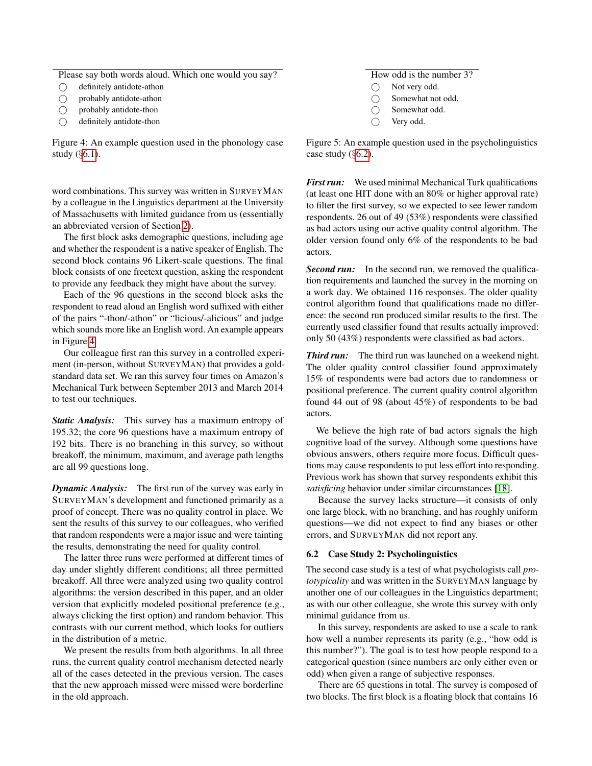<span id="page-10-0"></span>Please say both words aloud. Which one would you say?

- definitely antidote-athon
- probably antidote-athon
- probably antidote-thon
- definitely antidote-thon

Figure 4: An example question used in the phonology case study (§[6.1\)](#page-9-1).

word combinations. This survey was written in SURVEYMAN by a colleague in the Linguistics department at the University of Massachusetts with limited guidance from us (essentially an abbreviated version of Section [2\)](#page-2-1).

The first block asks demographic questions, including age and whether the respondent is a native speaker of English. The second block contains 96 Likert-scale questions. The final block consists of one freetext question, asking the respondent to provide any feedback they might have about the survey.

Each of the 96 questions in the second block asks the respondent to read aloud an English word suffixed with either of the pairs "-thon/-athon" or "licious/-alicious" and judge which sounds more like an English word. An example appears in Figure [4.](#page-10-0)

Our colleague first ran this survey in a controlled experiment (in-person, without SURVEYMAN) that provides a goldstandard data set. We ran this survey four times on Amazon's Mechanical Turk between September 2013 and March 2014 to test our techniques.

*Static Analysis:* This survey has a maximum entropy of 195.32; the core 96 questions have a maximum entropy of 192 bits. There is no branching in this survey, so without breakoff, the minimum, maximum, and average path lengths are all 99 questions long.

*Dynamic Analysis:* The first run of the survey was early in SURVEYMAN's development and functioned primarily as a proof of concept. There was no quality control in place. We sent the results of this survey to our colleagues, who verified that random respondents were a major issue and were tainting the results, demonstrating the need for quality control.

The latter three runs were performed at different times of day under slightly different conditions; all three permitted breakoff. All three were analyzed using two quality control algorithms: the version described in this paper, and an older version that explicitly modeled positional preference (e.g., always clicking the first option) and random behavior. This contrasts with our current method, which looks for outliers in the distribution of a metric.

We present the results from both algorithms. In all three runs, the current quality control mechanism detected nearly all of the cases detected in the previous version. The cases that the new approach missed were missed were borderline in the old approach.

## How odd is the number 3?

- Not very odd.
- Somewhat not odd.
- Somewhat odd.
- Very odd.

Figure 5: An example question used in the psycholinguistics case study  $(\S6.2)$  $(\S6.2)$ .

*First run:* We used minimal Mechanical Turk qualifications (at least one HIT done with an 80% or higher approval rate) to filter the first survey, so we expected to see fewer random respondents. 26 out of 49 (53%) respondents were classified as bad actors using our active quality control algorithm. The older version found only 6% of the respondents to be bad actors.

*Second run:* In the second run, we removed the qualification requirements and launched the survey in the morning on a work day. We obtained 116 responses. The older quality control algorithm found that qualifications made no difference: the second run produced similar results to the first. The currently used classifier found that results actually improved: only 50 (43%) respondents were classified as bad actors.

*Third run:* The third run was launched on a weekend night. The older quality control classifier found approximately 15% of respondents were bad actors due to randomness or positional preference. The current quality control algorithm found 44 out of 98 (about 45%) of respondents to be bad actors.

We believe the high rate of bad actors signals the high cognitive load of the survey. Although some questions have obvious answers, others require more focus. Difficult questions may cause respondents to put less effort into responding. Previous work has shown that survey respondents exhibit this *satisficing* behavior under similar circumstances [\[18\]](#page-14-19).

Because the survey lacks structure—it consists of only one large block, with no branching, and has roughly uniform questions—we did not expect to find any biases or other errors, and SURVEYMAN did not report any.

#### <span id="page-10-1"></span>6.2 Case Study 2: Psycholinguistics

The second case study is a test of what psychologists call *prototypicality* and was written in the SURVEYMAN language by another one of our colleagues in the Linguistics department; as with our other colleague, she wrote this survey with only minimal guidance from us.

In this survey, respondents are asked to use a scale to rank how well a number represents its parity (e.g., "how odd is this number?"). The goal is to test how people respond to a categorical question (since numbers are only either even or odd) when given a range of subjective responses.

There are 65 questions in total. The survey is composed of two blocks. The first block is a floating block that contains 16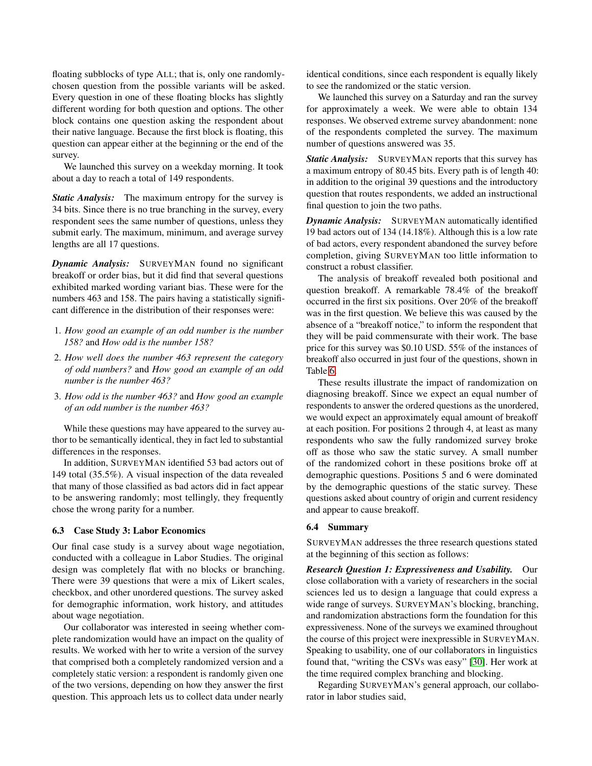floating subblocks of type ALL; that is, only one randomlychosen question from the possible variants will be asked. Every question in one of these floating blocks has slightly different wording for both question and options. The other block contains one question asking the respondent about their native language. Because the first block is floating, this question can appear either at the beginning or the end of the survey.

We launched this survey on a weekday morning. It took about a day to reach a total of 149 respondents.

*Static Analysis:* The maximum entropy for the survey is 34 bits. Since there is no true branching in the survey, every respondent sees the same number of questions, unless they submit early. The maximum, minimum, and average survey lengths are all 17 questions.

*Dynamic Analysis:* SURVEYMAN found no significant breakoff or order bias, but it did find that several questions exhibited marked wording variant bias. These were for the numbers 463 and 158. The pairs having a statistically significant difference in the distribution of their responses were:

- 1. *How good an example of an odd number is the number 158?* and *How odd is the number 158?*
- 2. *How well does the number 463 represent the category of odd numbers?* and *How good an example of an odd number is the number 463?*
- 3. *How odd is the number 463?* and *How good an example of an odd number is the number 463?*

While these questions may have appeared to the survey author to be semantically identical, they in fact led to substantial differences in the responses.

In addition, SURVEYMAN identified 53 bad actors out of 149 total (35.5%). A visual inspection of the data revealed that many of those classified as bad actors did in fact appear to be answering randomly; most tellingly, they frequently chose the wrong parity for a number.

#### <span id="page-11-0"></span>6.3 Case Study 3: Labor Economics

Our final case study is a survey about wage negotiation, conducted with a colleague in Labor Studies. The original design was completely flat with no blocks or branching. There were 39 questions that were a mix of Likert scales, checkbox, and other unordered questions. The survey asked for demographic information, work history, and attitudes about wage negotiation.

Our collaborator was interested in seeing whether complete randomization would have an impact on the quality of results. We worked with her to write a version of the survey that comprised both a completely randomized version and a completely static version: a respondent is randomly given one of the two versions, depending on how they answer the first question. This approach lets us to collect data under nearly

identical conditions, since each respondent is equally likely to see the randomized or the static version.

We launched this survey on a Saturday and ran the survey for approximately a week. We were able to obtain 134 responses. We observed extreme survey abandonment: none of the respondents completed the survey. The maximum number of questions answered was 35.

*Static Analysis:* SURVEYMAN reports that this survey has a maximum entropy of 80.45 bits. Every path is of length 40: in addition to the original 39 questions and the introductory question that routes respondents, we added an instructional final question to join the two paths.

*Dynamic Analysis:* SURVEYMAN automatically identified 19 bad actors out of 134 (14.18%). Although this is a low rate of bad actors, every respondent abandoned the survey before completion, giving SURVEYMAN too little information to construct a robust classifier.

The analysis of breakoff revealed both positional and question breakoff. A remarkable 78.4% of the breakoff occurred in the first six positions. Over 20% of the breakoff was in the first question. We believe this was caused by the absence of a "breakoff notice," to inform the respondent that they will be paid commensurate with their work. The base price for this survey was \$0.10 USD. 55% of the instances of breakoff also occurred in just four of the questions, shown in Table [6.](#page-12-0)

These results illustrate the impact of randomization on diagnosing breakoff. Since we expect an equal number of respondents to answer the ordered questions as the unordered, we would expect an approximately equal amount of breakoff at each position. For positions 2 through 4, at least as many respondents who saw the fully randomized survey broke off as those who saw the static survey. A small number of the randomized cohort in these positions broke off at demographic questions. Positions 5 and 6 were dominated by the demographic questions of the static survey. These questions asked about country of origin and current residency and appear to cause breakoff.

#### 6.4 Summary

SURVEYMAN addresses the three research questions stated at the beginning of this section as follows:

*Research Question 1: Expressiveness and Usability.* Our close collaboration with a variety of researchers in the social sciences led us to design a language that could express a wide range of surveys. SURVEYMAN's blocking, branching, and randomization abstractions form the foundation for this expressiveness. None of the surveys we examined throughout the course of this project were inexpressible in SURVEYMAN. Speaking to usability, one of our collaborators in linguistics found that, "writing the CSVs was easy" [\[30\]](#page-14-20). Her work at the time required complex branching and blocking.

Regarding SURVEYMAN's general approach, our collaborator in labor studies said,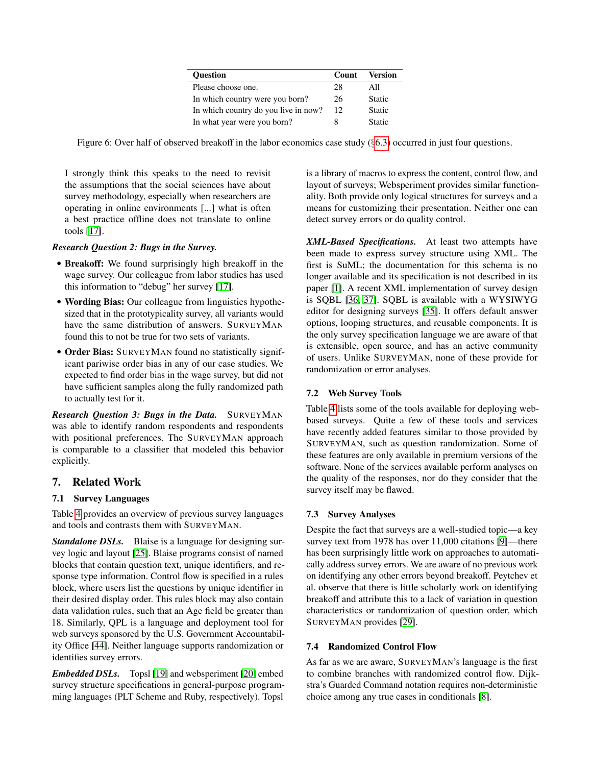| <b>Ouestion</b>                      | <b>Count</b> | <b>Version</b> |
|--------------------------------------|--------------|----------------|
| Please choose one.                   | 28           | All            |
| In which country were you born?      | 26           | <b>Static</b>  |
| In which country do you live in now? | 12           | <b>Static</b>  |
| In what year were you born?          | 8            | <b>Static</b>  |

<span id="page-12-0"></span>Figure 6: Over half of observed breakoff in the labor economics case study (§[6.3\)](#page-11-0) occurred in just four questions.

I strongly think this speaks to the need to revisit the assumptions that the social sciences have about survey methodology, especially when researchers are operating in online environments [...] what is often a best practice offline does not translate to online tools [\[17\]](#page-14-21).

## *Research Question 2: Bugs in the Survey.*

- Breakoff: We found surprisingly high breakoff in the wage survey. Our colleague from labor studies has used this information to "debug" her survey [\[17\]](#page-14-21).
- Wording Bias: Our colleague from linguistics hypothesized that in the prototypicality survey, all variants would have the same distribution of answers. SURVEYMAN found this to not be true for two sets of variants.
- Order Bias: SURVEYMAN found no statistically significant pariwise order bias in any of our case studies. We expected to find order bias in the wage survey, but did not have sufficient samples along the fully randomized path to actually test for it.

*Research Question 3: Bugs in the Data.* SURVEYMAN was able to identify random respondents and respondents with positional preferences. The SURVEYMAN approach is comparable to a classifier that modeled this behavior explicitly.

## 7. Related Work

#### 7.1 Survey Languages

Table [4](#page-13-7) provides an overview of previous survey languages and tools and contrasts them with SURVEYMAN.

*Standalone DSLs.* Blaise is a language for designing survey logic and layout [\[25\]](#page-14-22). Blaise programs consist of named blocks that contain question text, unique identifiers, and response type information. Control flow is specified in a rules block, where users list the questions by unique identifier in their desired display order. This rules block may also contain data validation rules, such that an Age field be greater than 18. Similarly, QPL is a language and deployment tool for web surveys sponsored by the U.S. Government Accountability Office [\[44\]](#page-14-23). Neither language supports randomization or identifies survey errors.

*Embedded DSLs.* Topsl [\[19\]](#page-14-24) and websperiment [\[20\]](#page-14-25) embed survey structure specifications in general-purpose programming languages (PLT Scheme and Ruby, respectively). Topsl is a library of macros to express the content, control flow, and layout of surveys; Websperiment provides similar functionality. Both provide only logical structures for surveys and a means for customizing their presentation. Neither one can detect survey errors or do quality control.

*XML-Based Specifications.* At least two attempts have been made to express survey structure using XML. The first is SuML; the documentation for this schema is no longer available and its specification is not described in its paper [\[1\]](#page-13-8). A recent XML implementation of survey design is SQBL [\[36,](#page-14-26) [37\]](#page-14-27). SQBL is available with a WYSIWYG editor for designing surveys [\[35\]](#page-14-28). It offers default answer options, looping structures, and reusable components. It is the only survey specification language we are aware of that is extensible, open source, and has an active community of users. Unlike SURVEYMAN, none of these provide for randomization or error analyses.

## 7.2 Web Survey Tools

Table [4](#page-13-7) lists some of the tools available for deploying webbased surveys. Quite a few of these tools and services have recently added features similar to those provided by SURVEYMAN, such as question randomization. Some of these features are only available in premium versions of the software. None of the services available perform analyses on the quality of the responses, nor do they consider that the survey itself may be flawed.

#### 7.3 Survey Analyses

Despite the fact that surveys are a well-studied topic—a key survey text from 1978 has over 11,000 citations [\[9\]](#page-13-3)—there has been surprisingly little work on approaches to automatically address survey errors. We are aware of no previous work on identifying any other errors beyond breakoff. Peytchev et al. observe that there is little scholarly work on identifying breakoff and attribute this to a lack of variation in question characteristics or randomization of question order, which SURVEYMAN provides [\[29\]](#page-14-29).

#### 7.4 Randomized Control Flow

As far as we are aware, SURVEYMAN's language is the first to combine branches with randomized control flow. Dijkstra's Guarded Command notation requires non-deterministic choice among any true cases in conditionals [\[8\]](#page-13-9).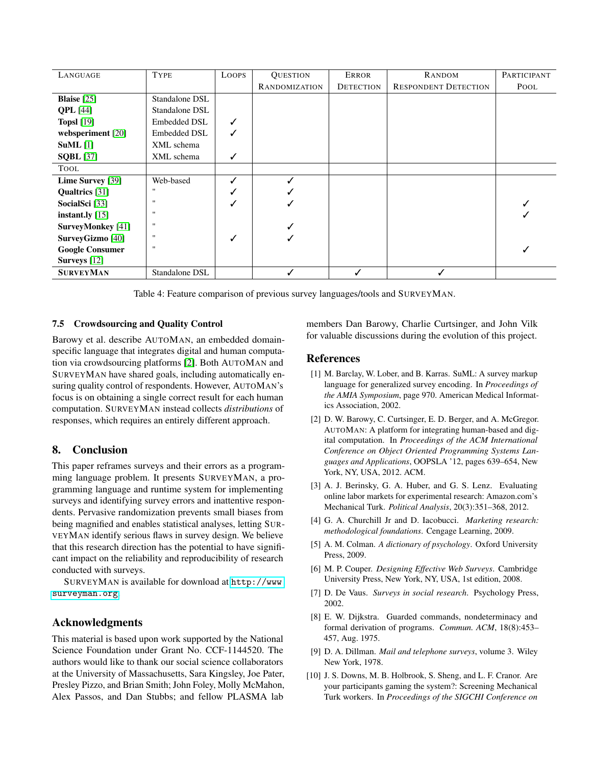<span id="page-13-7"></span>

| LANGUAGE                  | <b>TYPE</b>         | <b>LOOPS</b> | <b>QUESTION</b>      | <b>ERROR</b>     | <b>RANDOM</b>               | PARTICIPANT |
|---------------------------|---------------------|--------------|----------------------|------------------|-----------------------------|-------------|
|                           |                     |              | <b>RANDOMIZATION</b> | <b>DETECTION</b> | <b>RESPONDENT DETECTION</b> | POOL        |
| <b>Blaise</b> $[25]$      | Standalone DSL      |              |                      |                  |                             |             |
| <b>QPL</b> [44]           | Standalone DSL      |              |                      |                  |                             |             |
| <b>Topsl</b> [19]         | <b>Embedded DSL</b> | ✓            |                      |                  |                             |             |
| websperiment [20]         | <b>Embedded DSL</b> | ✓            |                      |                  |                             |             |
| $SuML$ [1]                | XML schema          |              |                      |                  |                             |             |
| <b>SOBL</b> [37]          | XML schema          | ✓            |                      |                  |                             |             |
| TOOL                      |                     |              |                      |                  |                             |             |
| Lime Survey [39]          | Web-based           | ✓            |                      |                  |                             |             |
| Qualtrics [31]            |                     | ✓            |                      |                  |                             |             |
| SocialSci <sup>[33]</sup> | $\mathbf{H}$        | √            |                      |                  |                             |             |
| instant.ly $[15]$         | $\mathbf{H}$        |              |                      |                  |                             |             |
| <b>SurveyMonkey</b> [41]  | $\mathbf{H}$        |              |                      |                  |                             |             |
| <b>SurveyGizmo</b> [40]   |                     | ✓            |                      |                  |                             |             |
| <b>Google Consumer</b>    | $\mathbf{H}$        |              |                      |                  |                             |             |
| <b>Surveys</b> [12]       |                     |              |                      |                  |                             |             |
| <b>SURVEYMAN</b>          | Standalone DSL      |              |                      |                  |                             |             |

Table 4: Feature comparison of previous survey languages/tools and SURVEYMAN.

## 7.5 Crowdsourcing and Quality Control

Barowy et al. describe AUTOMAN, an embedded domainspecific language that integrates digital and human computation via crowdsourcing platforms [\[2\]](#page-13-10). Both AUTOMAN and SURVEYMAN have shared goals, including automatically ensuring quality control of respondents. However, AUTOMAN's focus is on obtaining a single correct result for each human computation. SURVEYMAN instead collects *distributions* of responses, which requires an entirely different approach.

## 8. Conclusion

This paper reframes surveys and their errors as a programming language problem. It presents SURVEYMAN, a programming language and runtime system for implementing surveys and identifying survey errors and inattentive respondents. Pervasive randomization prevents small biases from being magnified and enables statistical analyses, letting SUR-VEYMAN identify serious flaws in survey design. We believe that this research direction has the potential to have significant impact on the reliability and reproducibility of research conducted with surveys.

SURVEYMAN is available for download at [http://www.](http://www.surveyman.org) [surveyman.org](http://www.surveyman.org).

## Acknowledgments

This material is based upon work supported by the National Science Foundation under Grant No. CCF-1144520. The authors would like to thank our social science collaborators at the University of Massachusetts, Sara Kingsley, Joe Pater, Presley Pizzo, and Brian Smith; John Foley, Molly McMahon, Alex Passos, and Dan Stubbs; and fellow PLASMA lab

members Dan Barowy, Charlie Curtsinger, and John Vilk for valuable discussions during the evolution of this project.

## **References**

- <span id="page-13-8"></span>[1] M. Barclay, W. Lober, and B. Karras. SuML: A survey markup language for generalized survey encoding. In *Proceedings of the AMIA Symposium*, page 970. American Medical Informatics Association, 2002.
- <span id="page-13-10"></span>[2] D. W. Barowy, C. Curtsinger, E. D. Berger, and A. McGregor. AUTOMAN: A platform for integrating human-based and digital computation. In *Proceedings of the ACM International Conference on Object Oriented Programming Systems Languages and Applications*, OOPSLA '12, pages 639–654, New York, NY, USA, 2012. ACM.
- <span id="page-13-1"></span>[3] A. J. Berinsky, G. A. Huber, and G. S. Lenz. Evaluating online labor markets for experimental research: Amazon.com's Mechanical Turk. *Political Analysis*, 20(3):351–368, 2012.
- <span id="page-13-0"></span>[4] G. A. Churchill Jr and D. Iacobucci. *Marketing research: methodological foundations*. Cengage Learning, 2009.
- <span id="page-13-6"></span>[5] A. M. Colman. *A dictionary of psychology*. Oxford University Press, 2009.
- <span id="page-13-4"></span>[6] M. P. Couper. *Designing Effective Web Surveys*. Cambridge University Press, New York, NY, USA, 1st edition, 2008.
- <span id="page-13-2"></span>[7] D. De Vaus. *Surveys in social research*. Psychology Press, 2002.
- <span id="page-13-9"></span>[8] E. W. Dijkstra. Guarded commands, nondeterminacy and formal derivation of programs. *Commun. ACM*, 18(8):453– 457, Aug. 1975.
- <span id="page-13-3"></span>[9] D. A. Dillman. *Mail and telephone surveys*, volume 3. Wiley New York, 1978.
- <span id="page-13-5"></span>[10] J. S. Downs, M. B. Holbrook, S. Sheng, and L. F. Cranor. Are your participants gaming the system?: Screening Mechanical Turk workers. In *Proceedings of the SIGCHI Conference on*